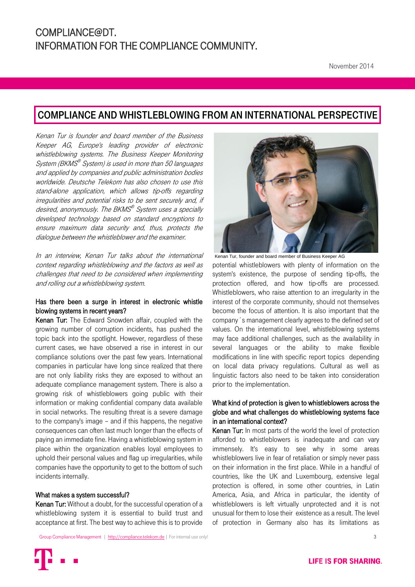## COMPLIANCE AND WHISTLEBLOWING FROM AN INTERNATIONAL PERSPECTIVE

Kenan Tur is founder and board member of the Business Keeper AG, Europe's leading provider of electronic whistleblowing systems. The Business Keeper Monitoring System (BKMS® System) is used in more than 50 languages and applied by companies and public administration bodies worldwide. Deutsche Telekom has also chosen to use this stand-alone application, which allows tip-offs regarding irregularities and potential risks to be sent securely and, if desired, anonymously. The BKMS® System uses a specially developed technology based on standard encryptions to ensure maximum data security and, thus, protects the dialogue between the whistleblower and the examiner.

In an interview, Kenan Tur talks about the international context regarding whistleblowing and the factors as well as challenges that need to be considered when implementing and rolling out a whistleblowing system.

## Has there been a surge in interest in electronic whistle blowing systems in recent years?

Kenan Tur: The Edward Snowden affair, coupled with the growing number of corruption incidents, has pushed the topic back into the spotlight. However, regardless of these current cases, we have observed a rise in interest in our compliance solutions over the past few years. International companies in particular have long since realized that there are not only liability risks they are exposed to without an adequate compliance management system. There is also a growing risk of whistleblowers going public with their information or making confidential company data available in social networks. The resulting threat is a severe damage to the company's image – and if this happens, the negative consequences can often last much longer than the effects of paying an immediate fine. Having a whistleblowing system in place within the organization enables loyal employees to uphold their personal values and flag up irregularities, while companies have the opportunity to get to the bottom of such incidents internally.

#### What makes a system successful?

Kenan Tur: Without a doubt, for the successful operation of a whistleblowing system it is essential to build trust and acceptance at first. The best way to achieve this is to provide



Kenan Tur, founder and board member of Business Keeper AG potential whistleblowers with plenty of information on the system's existence, the purpose of sending tip-offs, the protection offered, and how tip-offs are processed. Whistleblowers, who raise attention to an irregularity in the interest of the corporate community, should not themselves become the focus of attention. It is also important that the company´s management clearly agrees to the defined set of values. On the international level, whistleblowing systems may face additional challenges, such as the availability in several languages or the ability to make flexible modifications in line with specific report topics depending on local data privacy regulations. Cultural as well as linguistic factors also need to be taken into consideration prior to the implementation.

## What kind of protection is given to whistleblowers across the globe and what challenges do whistleblowing systems face in an international context?

Kenan Tur: In most parts of the world the level of protection afforded to whistleblowers is inadequate and can vary immensely. It's easy to see why in some areas whistleblowers live in fear of retaliation or simply never pass on their information in the first place. While in a handful of countries, like the UK and Luxembourg, extensive legal protection is offered, in some other countries, in Latin America, Asia, and Africa in particular, the identity of whistleblowers is left virtually unprotected and it is not unusual for them to lose their existence as a result. The level of protection in Germany also has its limitations as

[Group Compliance Management |](mailto:group-compliance.zentrale-bonn@telekom.de) [http://compliance.telekom.de](http://compliance.telekom.de/en) | For internal use only! 3 3